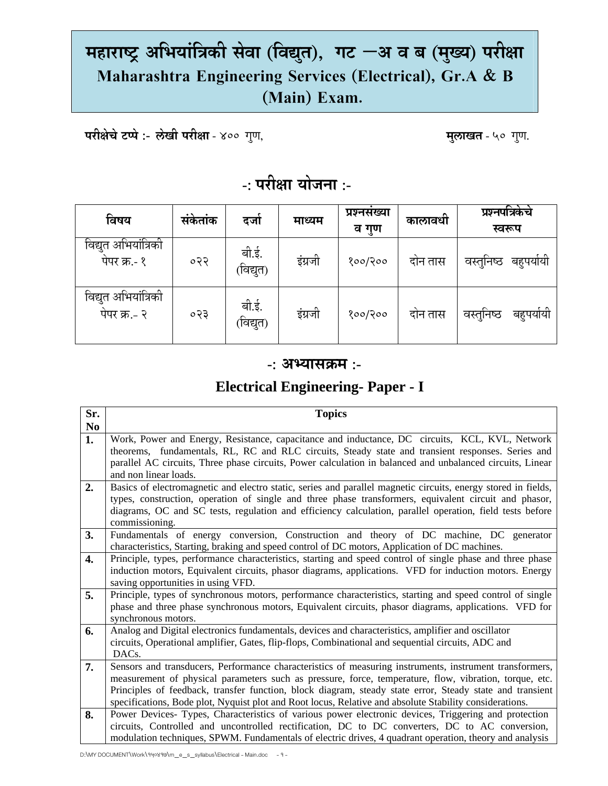# **महाराÍĘ अिभयांिĝकी सेवा (िवǏत ु ), गट –अ व ब (म°य ु ) परी©ा Maharashtra Engineering Services (Electrical), Gr.A & B (Main) Exam.**

 **परीक्षेचे टप्पे :- लेखी परीक्षा** - ४०० गुण, **संस्था का व्यावर्त्त - ५० गुण, अर्था , मुलाखत** - ५० गुण,

## **-: परी©ा योजना :-**

| विषय                                 | सकेताक | दजो                | माध्यम  | प्रश्नसख्या<br>व गुण | कालावधी | प्रश्नपत्रिकेचे<br>स्वरूप |
|--------------------------------------|--------|--------------------|---------|----------------------|---------|---------------------------|
| विद्युत अभियांत्रिकी<br>पेपर क्र.- १ | ०२२    | बी.ई.<br>(विद्युत) | इंग्रजी | १००/२००              | दोन तास | बहुपयोयी<br>वस्तुनिष्ठ    |
| विद्युत अभियांत्रिकी<br>पेपर क्र.- २ | ०२३    | बी.ई.<br>(विद्युत) | इंग्रजी | १००/२००              | दोन तास | वस्तुनिष्ठ<br>बहुपयोयो    |

#### **-: अÆयासĎम :-**

### **Electrical Engineering- Paper - I**

| Sr.            | <b>Topics</b>                                                                                                 |
|----------------|---------------------------------------------------------------------------------------------------------------|
| N <sub>0</sub> |                                                                                                               |
| 1.             | Work, Power and Energy, Resistance, capacitance and inductance, DC circuits, KCL, KVL, Network                |
|                | theorems, fundamentals, RL, RC and RLC circuits, Steady state and transient responses. Series and             |
|                | parallel AC circuits, Three phase circuits, Power calculation in balanced and unbalanced circuits, Linear     |
|                | and non linear loads.                                                                                         |
| 2.             | Basics of electromagnetic and electro static, series and parallel magnetic circuits, energy stored in fields, |
|                | types, construction, operation of single and three phase transformers, equivalent circuit and phasor,         |
|                | diagrams, OC and SC tests, regulation and efficiency calculation, parallel operation, field tests before      |
|                | commissioning.                                                                                                |
| 3.             | Fundamentals of energy conversion, Construction and theory of DC machine, DC generator                        |
|                | characteristics, Starting, braking and speed control of DC motors, Application of DC machines.                |
| 4.             | Principle, types, performance characteristics, starting and speed control of single phase and three phase     |
|                | induction motors, Equivalent circuits, phasor diagrams, applications. VFD for induction motors. Energy        |
|                | saving opportunities in using VFD.                                                                            |
| 5.             | Principle, types of synchronous motors, performance characteristics, starting and speed control of single     |
|                | phase and three phase synchronous motors, Equivalent circuits, phasor diagrams, applications. VFD for         |
|                | synchronous motors.                                                                                           |
| 6.             | Analog and Digital electronics fundamentals, devices and characteristics, amplifier and oscillator            |
|                | circuits, Operational amplifier, Gates, flip-flops, Combinational and sequential circuits, ADC and            |
|                | DAC <sub>s</sub> .                                                                                            |
| 7.             | Sensors and transducers, Performance characteristics of measuring instruments, instrument transformers,       |
|                | measurement of physical parameters such as pressure, force, temperature, flow, vibration, torque, etc.        |
|                | Principles of feedback, transfer function, block diagram, steady state error, Steady state and transient      |
|                | specifications, Bode plot, Nyquist plot and Root locus, Relative and absolute Stability considerations.       |
| 8.             | Power Devices- Types, Characteristics of various power electronic devices, Triggering and protection          |
|                | circuits, Controlled and uncontrolled rectification, DC to DC converters, DC to AC conversion,                |
|                | modulation techniques, SPWM. Fundamentals of electric drives, 4 quadrant operation, theory and analysis       |